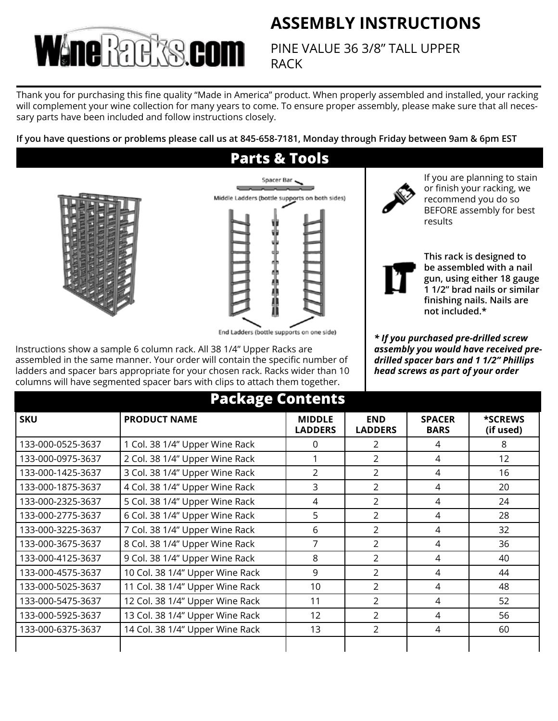## **ASSEMBLY INSTRUCTIONS**



PINE VALUE 36 3/8" TALL UPPER RACK

Thank you for purchasing this fine quality "Made in America" product. When properly assembled and installed, your racking will complement your wine collection for many years to come. To ensure proper assembly, please make sure that all necessary parts have been included and follow instructions closely.

**If you have questions or problems please call us at 845-658-7181, Monday through Friday between 9am & 6pm EST**

## **Parts & Tools**





End Ladders (bottle supports on one side)

Instructions show a sample 6 column rack. All 38 1/4" Upper Racks are assembled in the same manner. Your order will contain the specific number of ladders and spacer bars appropriate for your chosen rack. Racks wider than 10 columns will have segmented spacer bars with clips to attach them together.



If you are planning to stain or finish your racking, we recommend you do so BEFORE assembly for best results



**This rack is designed to be assembled with a nail gun, using either 18 gauge 1 1/2" brad nails or similar finishing nails. Nails are not included.\***

*\* If you purchased pre-drilled screw assembly you would have received predrilled spacer bars and 1 1/2" Phillips head screws as part of your order*

| <b>Package Contents</b> |                                 |                                 |                              |                              |                      |
|-------------------------|---------------------------------|---------------------------------|------------------------------|------------------------------|----------------------|
| <b>SKU</b>              | <b>PRODUCT NAME</b>             | <b>MIDDLE</b><br><b>LADDERS</b> | <b>END</b><br><b>LADDERS</b> | <b>SPACER</b><br><b>BARS</b> | *SCREWS<br>(if used) |
| 133-000-0525-3637       | 1 Col. 38 1/4" Upper Wine Rack  | 0                               | $\mathcal{P}$                | 4                            | 8                    |
| 133-000-0975-3637       | 2 Col. 38 1/4" Upper Wine Rack  | 1                               | $\overline{2}$               | 4                            | 12                   |
| 133-000-1425-3637       | 3 Col. 38 1/4" Upper Wine Rack  | $\overline{2}$                  | $\overline{2}$               | 4                            | 16                   |
| 133-000-1875-3637       | 4 Col. 38 1/4" Upper Wine Rack  | 3                               | 2                            | 4                            | 20                   |
| 133-000-2325-3637       | 5 Col. 38 1/4" Upper Wine Rack  | 4                               | $\mathcal{P}$                | 4                            | 24                   |
| 133-000-2775-3637       | 6 Col. 38 1/4" Upper Wine Rack  | 5                               | $\mathcal{P}$                | 4                            | 28                   |
| 133-000-3225-3637       | 7 Col. 38 1/4" Upper Wine Rack  | 6                               | $\mathcal{P}$                | 4                            | 32                   |
| 133-000-3675-3637       | 8 Col. 38 1/4" Upper Wine Rack  | 7                               | $\mathcal{P}$                | 4                            | 36                   |
| 133-000-4125-3637       | 9 Col. 38 1/4" Upper Wine Rack  | 8                               | $\mathcal{P}$                | 4                            | 40                   |
| 133-000-4575-3637       | 10 Col. 38 1/4" Upper Wine Rack | 9                               | $\overline{2}$               | 4                            | 44                   |
| 133-000-5025-3637       | 11 Col. 38 1/4" Upper Wine Rack | 10                              | $\overline{2}$               | 4                            | 48                   |
| 133-000-5475-3637       | 12 Col. 38 1/4" Upper Wine Rack | 11                              | $\overline{2}$               | 4                            | 52                   |
| 133-000-5925-3637       | 13 Col. 38 1/4" Upper Wine Rack | 12                              | $\mathcal{P}$                | 4                            | 56                   |
| 133-000-6375-3637       | 14 Col. 38 1/4" Upper Wine Rack | 13                              | $\mathcal{P}$                | 4                            | 60                   |
|                         |                                 |                                 |                              |                              |                      |